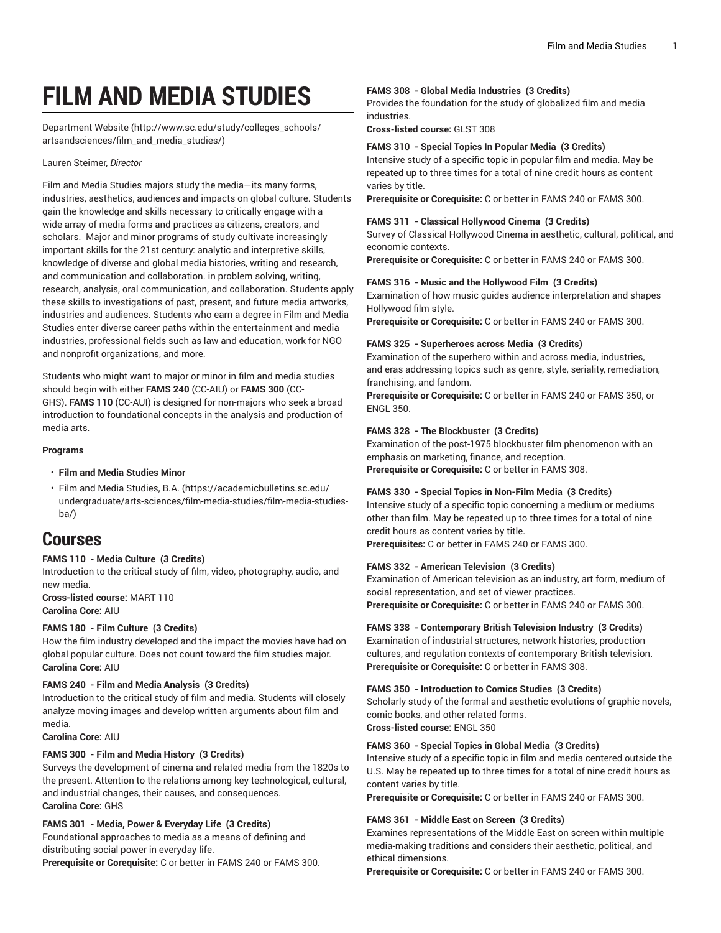# **FILM AND MEDIA STUDIES**

[Department](http://www.sc.edu/study/colleges_schools/artsandsciences/film_and_media_studies/) Website [\(http://www.sc.edu/study/colleges\\_schools/](http://www.sc.edu/study/colleges_schools/artsandsciences/film_and_media_studies/) [artsandsciences/film\\_and\\_media\\_studies/](http://www.sc.edu/study/colleges_schools/artsandsciences/film_and_media_studies/))

#### Lauren Steimer, *Director*

Film and Media Studies majors study the media—its many forms, industries, aesthetics, audiences and impacts on global culture. Students gain the knowledge and skills necessary to critically engage with a wide array of media forms and practices as citizens, creators, and scholars. Major and minor programs of study cultivate increasingly important skills for the 21st century: analytic and interpretive skills, knowledge of diverse and global media histories, writing and research, and communication and collaboration. in problem solving, writing, research, analysis, oral communication, and collaboration. Students apply these skills to investigations of past, present, and future media artworks, industries and audiences. Students who earn a degree in Film and Media Studies enter diverse career paths within the entertainment and media industries, professional fields such as law and education, work for NGO and nonprofit organizations, and more.

Students who might want to major or minor in film and media studies should begin with either **FAMS 240** (CC-AIU) or **FAMS 300** (CC-GHS). **FAMS 110** (CC-AUI) is designed for non-majors who seek a broad introduction to foundational concepts in the analysis and production of media arts.

#### **Programs**

# • **Film and Media Studies Minor**

• [Film and Media Studies, B.A. \(https://academicbulletins.sc.edu/](https://academicbulletins.sc.edu/undergraduate/arts-sciences/film-media-studies/film-media-studies-ba/) [undergraduate/arts-sciences/film-media-studies/film-media-studies](https://academicbulletins.sc.edu/undergraduate/arts-sciences/film-media-studies/film-media-studies-ba/)[ba/](https://academicbulletins.sc.edu/undergraduate/arts-sciences/film-media-studies/film-media-studies-ba/))

# **Courses**

# **FAMS 110 - Media Culture (3 Credits)**

Introduction to the critical study of film, video, photography, audio, and new media.

**Cross-listed course:** MART 110 **Carolina Core:** AIU

# **FAMS 180 - Film Culture (3 Credits)**

How the film industry developed and the impact the movies have had on global popular culture. Does not count toward the film studies major. **Carolina Core:** AIU

#### **FAMS 240 - Film and Media Analysis (3 Credits)**

Introduction to the critical study of film and media. Students will closely analyze moving images and develop written arguments about film and media.

**Carolina Core:** AIU

#### **FAMS 300 - Film and Media History (3 Credits)**

Surveys the development of cinema and related media from the 1820s to the present. Attention to the relations among key technological, cultural, and industrial changes, their causes, and consequences. **Carolina Core:** GHS

#### **FAMS 301 - Media, Power & Everyday Life (3 Credits)**

Foundational approaches to media as a means of defining and distributing social power in everyday life.

**Prerequisite or Corequisite:** C or better in FAMS 240 or FAMS 300.

#### **FAMS 308 - Global Media Industries (3 Credits)**

Provides the foundation for the study of globalized film and media industries.

**Cross-listed course:** GLST 308

#### **FAMS 310 - Special Topics In Popular Media (3 Credits)**

Intensive study of a specific topic in popular film and media. May be repeated up to three times for a total of nine credit hours as content varies by title.

**Prerequisite or Corequisite:** C or better in FAMS 240 or FAMS 300.

# **FAMS 311 - Classical Hollywood Cinema (3 Credits)**

Survey of Classical Hollywood Cinema in aesthetic, cultural, political, and economic contexts.

**Prerequisite or Corequisite:** C or better in FAMS 240 or FAMS 300.

#### **FAMS 316 - Music and the Hollywood Film (3 Credits)**

Examination of how music guides audience interpretation and shapes Hollywood film style.

**Prerequisite or Corequisite:** C or better in FAMS 240 or FAMS 300.

#### **FAMS 325 - Superheroes across Media (3 Credits)**

Examination of the superhero within and across media, industries, and eras addressing topics such as genre, style, seriality, remediation, franchising, and fandom.

**Prerequisite or Corequisite:** C or better in FAMS 240 or FAMS 350, or ENGL 350.

#### **FAMS 328 - The Blockbuster (3 Credits)**

Examination of the post-1975 blockbuster film phenomenon with an emphasis on marketing, finance, and reception. **Prerequisite or Corequisite:** C or better in FAMS 308.

#### **FAMS 330 - Special Topics in Non-Film Media (3 Credits)**

Intensive study of a specific topic concerning a medium or mediums other than film. May be repeated up to three times for a total of nine credit hours as content varies by title.

**Prerequisites:** C or better in FAMS 240 or FAMS 300.

#### **FAMS 332 - American Television (3 Credits)**

Examination of American television as an industry, art form, medium of social representation, and set of viewer practices. **Prerequisite or Corequisite:** C or better in FAMS 240 or FAMS 300.

#### **FAMS 338 - Contemporary British Television Industry (3 Credits)**

Examination of industrial structures, network histories, production cultures, and regulation contexts of contemporary British television. **Prerequisite or Corequisite:** C or better in FAMS 308.

#### **FAMS 350 - Introduction to Comics Studies (3 Credits)**

Scholarly study of the formal and aesthetic evolutions of graphic novels, comic books, and other related forms. **Cross-listed course:** ENGL 350

#### **FAMS 360 - Special Topics in Global Media (3 Credits)**

Intensive study of a specific topic in film and media centered outside the U.S. May be repeated up to three times for a total of nine credit hours as content varies by title.

**Prerequisite or Corequisite:** C or better in FAMS 240 or FAMS 300.

#### **FAMS 361 - Middle East on Screen (3 Credits)**

Examines representations of the Middle East on screen within multiple media-making traditions and considers their aesthetic, political, and ethical dimensions.

**Prerequisite or Corequisite:** C or better in FAMS 240 or FAMS 300.